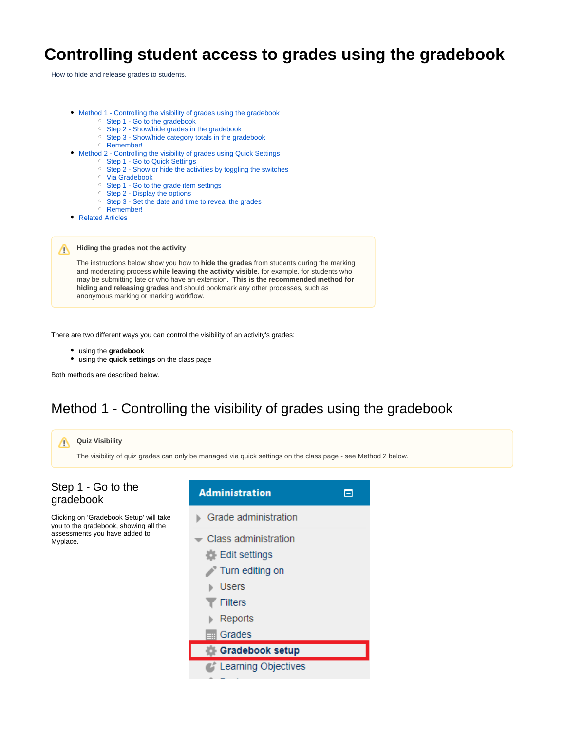# <span id="page-0-2"></span>**Controlling student access to grades using the gradebook**

How to hide and release grades to students.

- [Method 1 Controlling the visibility of grades using the gradebook](#page-0-0)
	- <sup>o</sup> [Step 1 Go to the gradebook](#page-0-1)
	- <sup>o</sup> [Step 2 Show/hide grades in the gradebook](#page-1-0)
	- <sup>o</sup> [Step 3 Show/hide category totals in the gradebook](#page-1-1)
	- [Remember!](#page-1-2)
- [Method 2 Controlling the visibility of grades using Quick Settings](#page-1-3)
	- <sup>o</sup> [Step 1 Go to Quick Settings](#page-1-4)
	- <sup>o</sup> [Step 2 Show or hide the activities by toggling the switches](#page-2-0)
	- <sup>o</sup> [Via Gradebook](#page-2-1)
	- <sup>o</sup> [Step 1 Go to the grade item settings](#page-3-0)
	- <sup>o</sup> [Step 2 Display the options](#page-3-1)
	- <sup>o</sup> [Step 3 Set the date and time to reveal the grades](#page-3-2)
	- o [Remember!](#page-3-3)
- [Related Articles](#page-4-0)

**Hiding the grades not the activity** ∧

> The instructions below show you how to **hide the grades** from students during the marking and moderating process **while leaving the activity visible**, for example, for students who may be submitting late or who have an extension. **This is the recommended method for hiding and releasing grades** and should bookmark any other processes, such as anonymous marking or marking workflow.

There are two different ways you can control the visibility of an activity's grades:

- using the **gradebook**
- using the **quick settings** on the class page

Both methods are described below.

## Method 1 - Controlling the visibility of grades using the gradebook

<span id="page-0-1"></span><span id="page-0-0"></span>

- 
- **C** Learning Objectives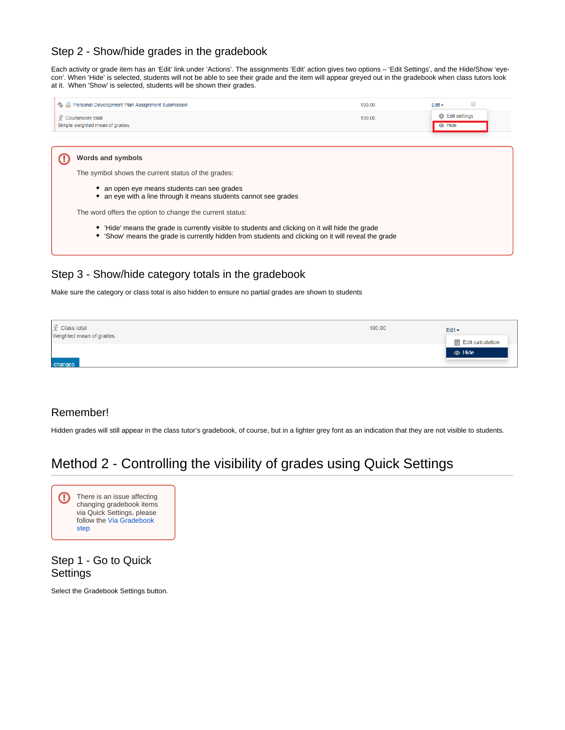#### <span id="page-1-0"></span>Step 2 - Show/hide grades in the gradebook

Each activity or grade item has an 'Edit' link under 'Actions'. The assignments 'Edit' action gives two options – 'Edit Settings', and the Hide/Show 'eyecon'. When 'Hide' is selected, students will not be able to see their grade and the item will appear greyed out in the gradebook when class tutors look at it. When 'Show' is selected, students will be shown their grades.

| Personal Development Plan Assignment Submission                                                                                                                                                                                                                                                                                                                                                                                                                    | 100.00 | $Edit -$                       |  |
|--------------------------------------------------------------------------------------------------------------------------------------------------------------------------------------------------------------------------------------------------------------------------------------------------------------------------------------------------------------------------------------------------------------------------------------------------------------------|--------|--------------------------------|--|
| Coursework total<br>Simple weighted mean of grades.                                                                                                                                                                                                                                                                                                                                                                                                                | 100.00 | Edit settings<br><b>B</b> Hide |  |
| <b>Words and symbols</b><br>The symbol shows the current status of the grades:<br>an open eye means students can see grades<br>an eye with a line through it means students cannot see grades<br>The word offers the option to change the current status:<br>'Hide' means the grade is currently visible to students and clicking on it will hide the grade<br>• 'Show' means the grade is currently hidden from students and clicking on it will reveal the grade |        |                                |  |

### <span id="page-1-1"></span>Step 3 - Show/hide category totals in the gradebook

Make sure the category or class total is also hidden to ensure no partial grades are shown to students

| $\bar{X}$ Class total<br>Weighted mean of grades. | 100.00 | $E$ dit $\star$         |
|---------------------------------------------------|--------|-------------------------|
|                                                   |        | <b>Edit calculation</b> |
|                                                   |        | $\bullet$ Hide          |
| changes                                           |        |                         |

#### <span id="page-1-2"></span>Remember!

Hidden grades will still appear in the class tutor's gradebook, of course, but in a lighter grey font as an indication that they are not visible to students.

# <span id="page-1-3"></span>Method 2 - Controlling the visibility of grades using Quick Settings



#### <span id="page-1-4"></span>Step 1 - Go to Quick **Settings**

Select the Gradebook Settings button.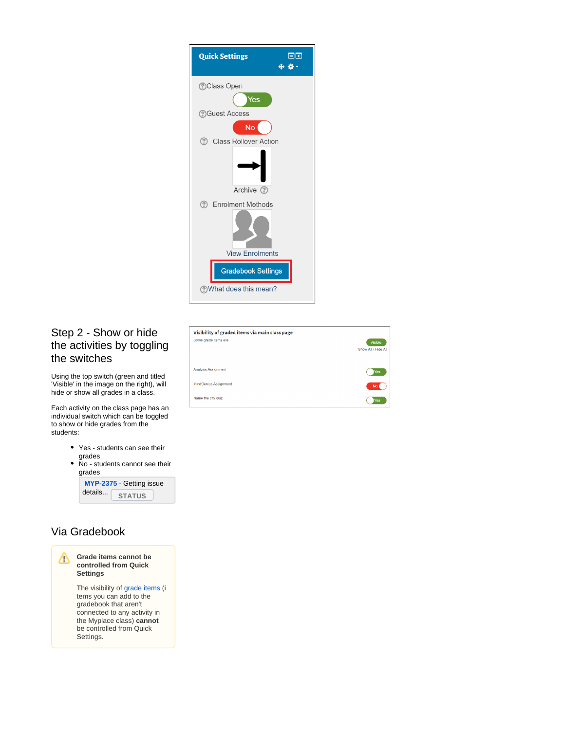| 日団<br><b>Quick Settings</b>     |
|---------------------------------|
| <b>OClass Open</b>              |
| Yes                             |
| <b>?</b> Guest Access           |
| No                              |
| Class Rollover Action           |
| Archive (?)                     |
| <b>Enrolment Methods</b><br>(?) |
| <b>View Enrolments</b>          |
|                                 |
| <b>Gradebook Settings</b>       |
| ?What does this mean?           |

## <span id="page-2-0"></span>Step 2 - Show or hide the activities by toggling the switches

Using the top switch (green and titled 'Visible' in the image on the right), will hide or show all grades in a class.

Each activity on the class page has an individual switch which can be toggled to show or hide grades from the students:

- Yes students can see their grades
- No students cannot see their grades



## <span id="page-2-1"></span>Via Gradebook



| Visibility of graded items via main class page |                     |
|------------------------------------------------|---------------------|
| Some grade items are                           | Visible             |
|                                                | Show All / Hide All |
|                                                |                     |
| <b>Analysis Assignment</b>                     | Yes                 |
| <b>MindGenius Assignment</b>                   | <b>No</b>           |
| Name the city quiz                             | Yes                 |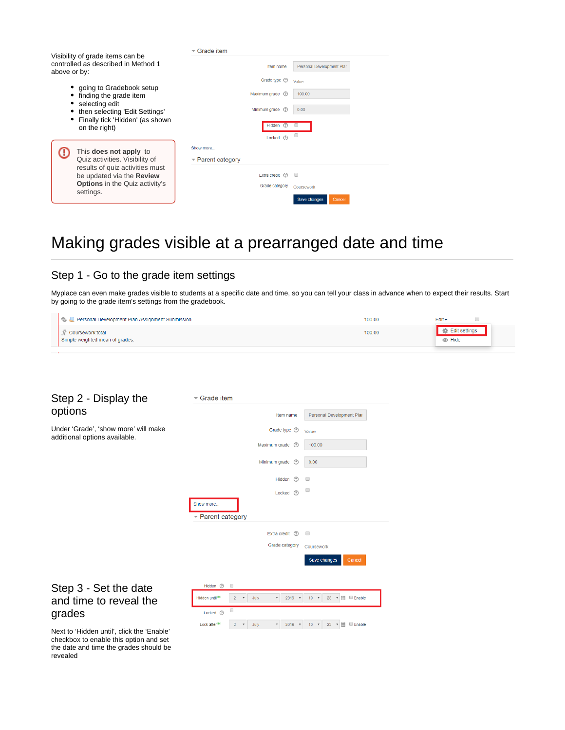|                                                                                                              | $\overline{\phantom{a}}$ Grade item   |                       |                           |
|--------------------------------------------------------------------------------------------------------------|---------------------------------------|-----------------------|---------------------------|
| Visibility of grade items can be<br>controlled as described in Method 1<br>above or by:                      |                                       | Item name             | Personal Development Plar |
|                                                                                                              |                                       | Grade type (?)        | Value                     |
| • going to Gradebook setup<br>• finding the grade item<br>• selecting edit<br>then selecting 'Edit Settings' |                                       | Maximum grade (?)     | 100.00                    |
|                                                                                                              |                                       | Minimum grade<br>(?)  | 0.00                      |
| • Finally tick 'Hidden' (as shown<br>on the right)                                                           |                                       | $\circledR$<br>Hidden |                           |
|                                                                                                              |                                       | Locked (?)            |                           |
| This does not apply to                                                                                       | Show more                             |                       |                           |
| Quiz activities. Visibility of<br>results of quiz activities must<br>be updated via the Review               | $\blacktriangleright$ Parent category |                       |                           |
|                                                                                                              |                                       | Extra credit (?)      |                           |
| <b>Options</b> in the Quiz activity's                                                                        |                                       | Grade category        | Coursework                |
| settings.                                                                                                    |                                       |                       | Cancel<br>Save changes    |

# Making grades visible at a prearranged date and time

## <span id="page-3-0"></span>Step 1 - Go to the grade item settings

Myplace can even make grades visible to students at a specific date and time, so you can tell your class in advance when to expect their results. Start by going to the grade item's settings from the gradebook.

| Personal Development Plan Assignment Submission     | 100.00 | Edit -                         |  |
|-----------------------------------------------------|--------|--------------------------------|--|
| Coursework total<br>Simple weighted mean of grades. | 100.00 | Edit settings<br><b>B</b> Hide |  |
|                                                     |        |                                |  |

#### <span id="page-3-1"></span>Step 2 - Display the op

<span id="page-3-2"></span>the date and time the grades should be

<span id="page-3-3"></span>revealed

| options                                                                              | Personal Development Plar<br>Item name                                                                                                                                                                            |
|--------------------------------------------------------------------------------------|-------------------------------------------------------------------------------------------------------------------------------------------------------------------------------------------------------------------|
| Under 'Grade', 'show more' will make<br>additional options available.                | Grade type <sup>(?)</sup><br>Value                                                                                                                                                                                |
|                                                                                      | 100.00<br>Maximum grade<br>$\binom{2}{3}$                                                                                                                                                                         |
|                                                                                      | Minimum grade<br>0.00<br>$\circledR$                                                                                                                                                                              |
|                                                                                      | $\Box$<br><b>Hidden</b><br>(?)                                                                                                                                                                                    |
|                                                                                      | $\Box$<br>$\odot$<br>Locked                                                                                                                                                                                       |
|                                                                                      | Show more                                                                                                                                                                                                         |
|                                                                                      | ▼ Parent category                                                                                                                                                                                                 |
|                                                                                      | Extra credit<br>$\odot$<br>$\qquad \qquad \Box$                                                                                                                                                                   |
|                                                                                      | Grade category<br>Coursework                                                                                                                                                                                      |
|                                                                                      | Save changes<br>Cancel                                                                                                                                                                                            |
|                                                                                      |                                                                                                                                                                                                                   |
| Step 3 - Set the date                                                                | Hidden <sup>(2)</sup><br>$\qquad \qquad \Box$                                                                                                                                                                     |
| and time to reveal the                                                               | 幽<br><b>Enable</b><br>Hidden until*<br>$\overline{2}$<br>$\boldsymbol{\mathrm{v}}$<br>July<br>2019<br>10 <sup>10</sup><br>23<br>$\boldsymbol{\mathrm{v}}$<br>$\overline{\mathbf{v}}$<br>$\boldsymbol{\mathrm{v}}$ |
| grades                                                                               | $\qquad \qquad \Box$<br>Locked (?)                                                                                                                                                                                |
| Next to 'Hidden until', click the 'Enable'<br>checkbox to enable this option and set | m<br><b>Enable</b><br>Lock after <sup>*</sup><br>July<br>$10 - r$<br>$23 - r$<br>$\overline{2}$<br>$\bar{\mathbf{v}}$<br>۳.<br>2019                                                                               |

Grade item